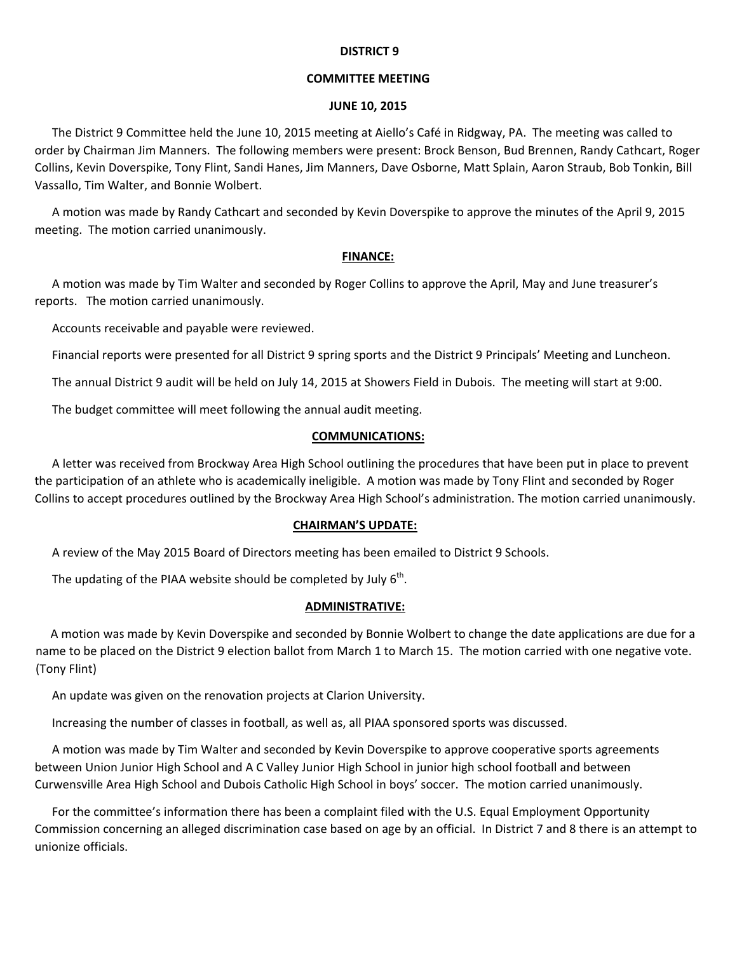### **DISTRICT 9**

## **COMMITTEE MEETING**

### **JUNE 10, 2015**

The District 9 Committee held the June 10, 2015 meeting at Aiello's Café in Ridgway, PA. The meeting was called to order by Chairman Jim Manners. The following members were present: Brock Benson, Bud Brennen, Randy Cathcart, Roger Collins, Kevin Doverspike, Tony Flint, Sandi Hanes, Jim Manners, Dave Osborne, Matt Splain, Aaron Straub, Bob Tonkin, Bill Vassallo, Tim Walter, and Bonnie Wolbert.

A motion was made by Randy Cathcart and seconded by Kevin Doverspike to approve the minutes of the April 9, 2015 meeting. The motion carried unanimously.

## **FINANCE:**

A motion was made by Tim Walter and seconded by Roger Collins to approve the April, May and June treasurer's reports. The motion carried unanimously.

Accounts receivable and payable were reviewed.

Financial reports were presented for all District 9 spring sports and the District 9 Principals' Meeting and Luncheon.

The annual District 9 audit will be held on July 14, 2015 at Showers Field in Dubois. The meeting will start at 9:00.

The budget committee will meet following the annual audit meeting.

### **COMMUNICATIONS:**

A letter was received from Brockway Area High School outlining the procedures that have been put in place to prevent the participation of an athlete who is academically ineligible. A motion was made by Tony Flint and seconded by Roger Collins to accept procedures outlined by the Brockway Area High School's administration. The motion carried unanimously.

### **CHAIRMAN'S UPDATE:**

A review of the May 2015 Board of Directors meeting has been emailed to District 9 Schools.

The updating of the PIAA website should be completed by July 6<sup>th</sup>.

# **ADMINISTRATIVE:**

 A motion was made by Kevin Doverspike and seconded by Bonnie Wolbert to change the date applications are due for a name to be placed on the District 9 election ballot from March 1 to March 15. The motion carried with one negative vote. (Tony Flint)

An update was given on the renovation projects at Clarion University.

Increasing the number of classes in football, as well as, all PIAA sponsored sports was discussed.

A motion was made by Tim Walter and seconded by Kevin Doverspike to approve cooperative sports agreements between Union Junior High School and A C Valley Junior High School in junior high school football and between Curwensville Area High School and Dubois Catholic High School in boys' soccer. The motion carried unanimously.

For the committee's information there has been a complaint filed with the U.S. Equal Employment Opportunity Commission concerning an alleged discrimination case based on age by an official. In District 7 and 8 there is an attempt to unionize officials.